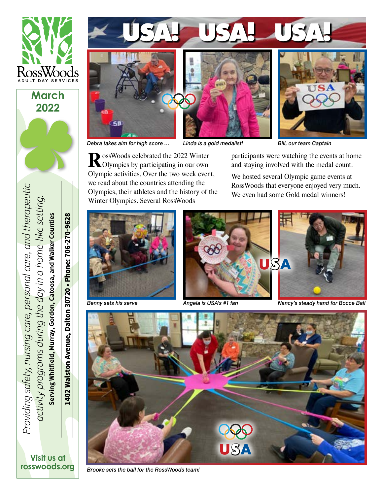

**2022**





**R**ossWoods celebrated the 2022 Winter Olympics by participating in our own Olympic activities. Over the two week event, we read about the countries attending the Olympics, their athletes and the history of the

Winter Olympics. Several RossWoods



*Debra takes aim for high score …*

*Linda is a gold medalist!*

*Bill, our team Captain*

participants were watching the events at home and staying involved with the medal count.

We hosted several Olympic game events at RossWoods that everyone enjoyed very much. We even had some Gold medal winners!



*Benny sets his serve*



*Angela is USA's #1 fan*

*Nancy's steady hand for Bocce Ball*



*Brooke sets the ball for the RossWoods team!*

Providing safety, nursing care, personal care, and therapeutic *Providing safety, nursing care, personal care, and therapeutic* activity programs during the day in a home-like setting.  *activity programs during the day in a home-like setting.* Serving Whitfield, Murray, Gordon, Catoosa, and Walker Counties **Serving Whitfield, Murray, Gordon, Catoosa, and Walker Counties**

1402 Walston Avenue, Dalton 30720 • Phone: 706-270-9628 **1402 Walston Avenue, Dalton 30720 • Phone: 706-270-9628**

**Visit us at [rosswoods.org](http://www.rosswoods.org)**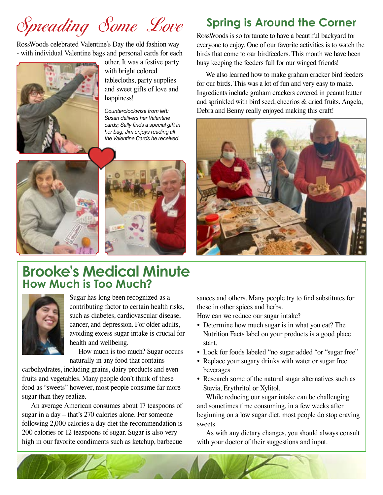# Spreading Some Love **Spring is Around the Corner**

RossWoods celebrated Valentine's Day the old fashion way - with individual Valentine bags and personal cards for each



other. It was a festive party with bright colored tablecloths, party supplies and sweet gifts of love and happiness!

*Counterclockwise from left: Susan delivers her Valentine cards; Sally finds a special gift in her bag; Jim enjoys reading all the Valentine Cards he received.*





### **Brooke's Medical Minute How Much is Too Much?**



Sugar has long been recognized as a contributing factor to certain health risks, such as diabetes, cardiovascular disease, cancer, and depression. For older adults, avoiding excess sugar intake is crucial for health and wellbeing.

How much is too much? Sugar occurs naturally in any food that contains

carbohydrates, including grains, dairy products and even fruits and vegetables. Many people don't think of these food as "sweets" however, most people consume far more sugar than they realize.

An average American consumes about 17 teaspoons of sugar in a day – that's 270 calories alone. For someone following 2,000 calories a day diet the recommendation is 200 calories or 12 teaspoons of sugar. Sugar is also very high in our favorite condiments such as ketchup, barbecue

RossWoods is so fortunate to have a beautiful backyard for everyone to enjoy. One of our favorite activities is to watch the birds that come to our birdfeeders. This month we have been busy keeping the feeders full for our winged friends!

We also learned how to make graham cracker bird feeders for our birds. This was a lot of fun and very easy to make. Ingredients include graham crackers covered in peanut butter and sprinkled with bird seed, cheerios & dried fruits. Angela, Debra and Benny really enjoyed making this craft!



sauces and others. Many people try to find substitutes for these in other spices and herbs.

How can we reduce our sugar intake?

- Determine how much sugar is in what you eat? The Nutrition Facts label on your products is a good place start.
- Look for foods labeled "no sugar added "or "sugar free"
- Replace your sugary drinks with water or sugar free beverages
- Research some of the natural sugar alternatives such as Stevia, Erythritol or Xylitol.

While reducing our sugar intake can be challenging and sometimes time consuming, in a few weeks after beginning on a low sugar diet, most people do stop craving sweets.

As with any dietary changes, you should always consult with your doctor of their suggestions and input.

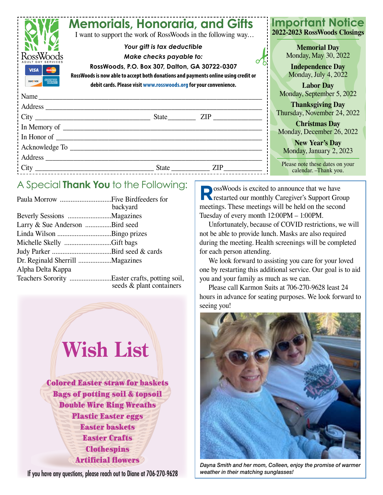|                                                        | <b>Memorials, Honoraria, and Gifts</b><br>I want to support the work of RossWoods in the following way                                                                                         | <b>Important Notice</b><br>2022-2023 RossWoods Closings                                        |
|--------------------------------------------------------|------------------------------------------------------------------------------------------------------------------------------------------------------------------------------------------------|------------------------------------------------------------------------------------------------|
| <b>VISA</b><br><b>AMERICAN</b>                         | Your gift is tax deductible<br>Make checks payable to:<br>RossWoods, P.O. Box 307, Dalton, GA 30722-0307<br>RossWoods is now able to accept both donations and payments online using credit or | <b>Memorial Day</b><br>Monday, May 30, 2022<br><b>Independence Day</b><br>Monday, July 4, 2022 |
| <b>DISCOVER</b><br><b>EXPRES</b><br>$\frac{1}{2}$ Name | debit cards. Please visit www.rosswoods.org for your convenience.                                                                                                                              | <b>Labor Day</b><br>Monday, September 5, 2022                                                  |
| Address                                                |                                                                                                                                                                                                | <b>Thanksgiving Day</b><br>Thursday, November 24, 2022                                         |
|                                                        |                                                                                                                                                                                                | <b>Christmas Day</b><br>Monday, December 26, 2022                                              |
|                                                        |                                                                                                                                                                                                | <b>New Year's Day</b><br>Monday, January 2, 2023                                               |
| $\cdot$ City                                           | <b>ZIP</b><br>State                                                                                                                                                                            | Please note these dates on your<br>calendar. -Thank you.                                       |

### A Special **Thank You** to the Following:

|                                                | backyard                 |
|------------------------------------------------|--------------------------|
|                                                |                          |
| Larry & Sue Anderson Bird seed                 |                          |
|                                                |                          |
| Michelle Skelly Gift bags                      |                          |
|                                                |                          |
| Dr. Reginald Sherrill Magazines                |                          |
| Alpha Delta Kappa                              |                          |
| Teachers Sorority Easter crafts, potting soil, | seeds & plant containers |



If you have any questions, please reach out to Diane at 706-270-9628

**RossWoods** is excited to announce that we have **Restarted our monthly Caregiver's Support Group** meetings. These meetings will be held on the second Tuesday of every month 12:00PM – 1:00PM.

Unfortunately, because of COVID restrictions, we will not be able to provide lunch. Masks are also required during the meeting. Health screenings will be completed for each person attending.

We look forward to assisting you care for your loved one by restarting this additional service. Our goal is to aid you and your family as much as we can.

Please call Karmon Suits at 706-270-9628 least 24 hours in advance for seating purposes. We look forward to seeing you!



*Dayna Smith and her mom, Colleen, enjoy the promise of warmer weather in their matching sunglasses!*